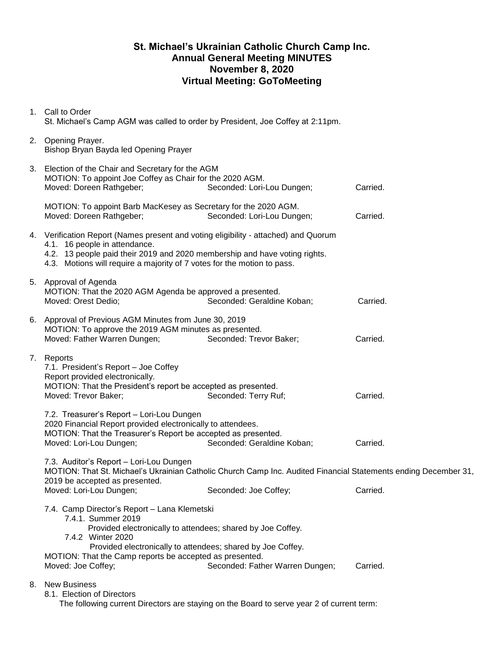## **St. Michael's Ukrainian Catholic Church Camp Inc. Annual General Meeting MINUTES November 8, 2020 Virtual Meeting: GoToMeeting**

| 1. Call to Order<br>St. Michael's Camp AGM was called to order by President, Joe Coffey at 2:11pm.                                                                                                                                                                                                                                                                                                                    |                            |          |  |  |  |  |
|-----------------------------------------------------------------------------------------------------------------------------------------------------------------------------------------------------------------------------------------------------------------------------------------------------------------------------------------------------------------------------------------------------------------------|----------------------------|----------|--|--|--|--|
| 2. Opening Prayer.<br>Bishop Bryan Bayda led Opening Prayer                                                                                                                                                                                                                                                                                                                                                           |                            |          |  |  |  |  |
| 3. Election of the Chair and Secretary for the AGM<br>MOTION: To appoint Joe Coffey as Chair for the 2020 AGM.<br>Moved: Doreen Rathgeber;                                                                                                                                                                                                                                                                            | Carried.                   |          |  |  |  |  |
| MOTION: To appoint Barb MacKesey as Secretary for the 2020 AGM.<br>Moved: Doreen Rathgeber;                                                                                                                                                                                                                                                                                                                           | Seconded: Lori-Lou Dungen; | Carried. |  |  |  |  |
| 4. Verification Report (Names present and voting eligibility - attached) and Quorum<br>4.1. 16 people in attendance.<br>4.2. 13 people paid their 2019 and 2020 membership and have voting rights.<br>4.3. Motions will require a majority of 7 votes for the motion to pass.                                                                                                                                         |                            |          |  |  |  |  |
| 5. Approval of Agenda<br>MOTION: That the 2020 AGM Agenda be approved a presented.<br>Moved: Orest Dedio;                                                                                                                                                                                                                                                                                                             | Seconded: Geraldine Koban; | Carried. |  |  |  |  |
| 6. Approval of Previous AGM Minutes from June 30, 2019<br>MOTION: To approve the 2019 AGM minutes as presented.<br>Moved: Father Warren Dungen;                                                                                                                                                                                                                                                                       | Seconded: Trevor Baker;    | Carried. |  |  |  |  |
| 7. Reports<br>7.1. President's Report - Joe Coffey<br>Report provided electronically.<br>MOTION: That the President's report be accepted as presented.<br>Moved: Trevor Baker;                                                                                                                                                                                                                                        | Seconded: Terry Ruf;       | Carried. |  |  |  |  |
| 7.2. Treasurer's Report - Lori-Lou Dungen<br>2020 Financial Report provided electronically to attendees.<br>MOTION: That the Treasurer's Report be accepted as presented.<br>Seconded: Geraldine Koban;<br>Moved: Lori-Lou Dungen;<br>Carried.                                                                                                                                                                        |                            |          |  |  |  |  |
| 7.3. Auditor's Report - Lori-Lou Dungen<br>MOTION: That St. Michael's Ukrainian Catholic Church Camp Inc. Audited Financial Statements ending December 31,<br>2019 be accepted as presented.                                                                                                                                                                                                                          |                            |          |  |  |  |  |
| Moved: Lori-Lou Dungen;<br>Seconded: Joe Coffey;<br>Carried.<br>7.4. Camp Director's Report - Lana Klemetski<br>7.4.1. Summer 2019<br>Provided electronically to attendees; shared by Joe Coffey.<br>7.4.2 Winter 2020<br>Provided electronically to attendees; shared by Joe Coffey.<br>MOTION: That the Camp reports be accepted as presented.<br>Seconded: Father Warren Dungen;<br>Moved: Joe Coffey;<br>Carried. |                            |          |  |  |  |  |
| 8. New Business<br>8.1. Election of Directors                                                                                                                                                                                                                                                                                                                                                                         |                            |          |  |  |  |  |

The following current Directors are staying on the Board to serve year 2 of current term: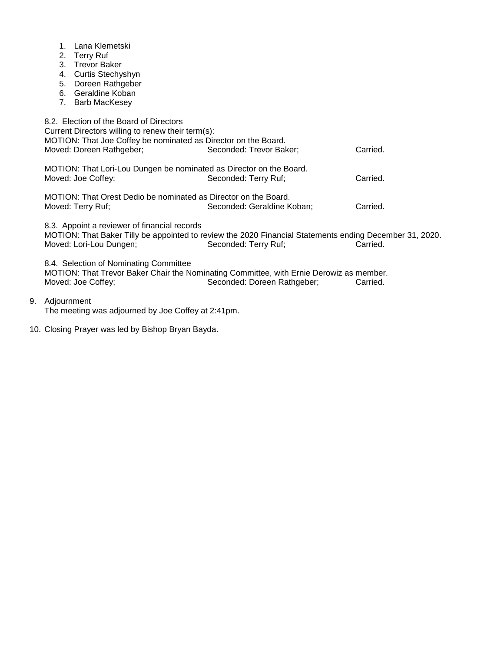- 1. Lana Klemetski
- 2. Terry Ruf
- 3. Trevor Baker
- 4. Curtis Stechyshyn
- 5. Doreen Rathgeber
- 6. Geraldine Koban
- 7. Barb MacKesey

|                                                                                                                                                                                                    | 8.2. Election of the Board of Directors<br>Current Directors willing to renew their term(s):<br>MOTION: That Joe Coffey be nominated as Director on the Board.<br>Moved: Doreen Rathgeber; | Seconded: Trevor Baker;                                                                                                                     | Carried. |  |  |  |
|----------------------------------------------------------------------------------------------------------------------------------------------------------------------------------------------------|--------------------------------------------------------------------------------------------------------------------------------------------------------------------------------------------|---------------------------------------------------------------------------------------------------------------------------------------------|----------|--|--|--|
|                                                                                                                                                                                                    | MOTION: That Lori-Lou Dungen be nominated as Director on the Board.<br>Moved: Joe Coffey;                                                                                                  | Seconded: Terry Ruf;                                                                                                                        | Carried. |  |  |  |
| MOTION: That Orest Dedio be nominated as Director on the Board.<br>Moved: Terry Ruf;<br>Carried.<br>Seconded: Geraldine Koban;                                                                     |                                                                                                                                                                                            |                                                                                                                                             |          |  |  |  |
|                                                                                                                                                                                                    | 8.3. Appoint a reviewer of financial records<br>Moved: Lori-Lou Dungen;                                                                                                                    | MOTION: That Baker Tilly be appointed to review the 2020 Financial Statements ending December 31, 2020.<br>Seconded: Terry Ruf;<br>Carried. |          |  |  |  |
| 8.4. Selection of Nominating Committee<br>MOTION: That Trevor Baker Chair the Nominating Committee, with Ernie Derowiz as member.<br>Moved: Joe Coffey;<br>Seconded: Doreen Rathgeber;<br>Carried. |                                                                                                                                                                                            |                                                                                                                                             |          |  |  |  |
|                                                                                                                                                                                                    |                                                                                                                                                                                            |                                                                                                                                             |          |  |  |  |

9. Adjournment

The meeting was adjourned by Joe Coffey at 2:41pm.

10. Closing Prayer was led by Bishop Bryan Bayda.